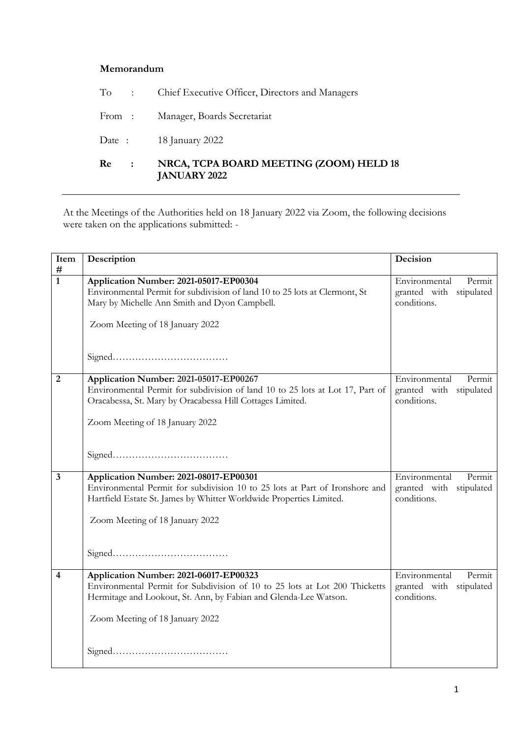## **Memorandum**

| Re<br>$\sim 100$ | NRCA, TCPA BOARD MEETING (ZOOM) HELD 18<br><b>JANUARY 2022</b> |
|------------------|----------------------------------------------------------------|
|                  | Date: 18 January 2022                                          |
| From :           | Manager, Boards Secretariat                                    |
| $To$ :           | Chief Executive Officer, Directors and Managers                |

At the Meetings of the Authorities held on 18 January 2022 via Zoom, the following decisions were taken on the applications submitted: -

| Item                    | Description                                                                                                                                                                                                                     | Decision                                                          |
|-------------------------|---------------------------------------------------------------------------------------------------------------------------------------------------------------------------------------------------------------------------------|-------------------------------------------------------------------|
| #<br>$\overline{1}$     | Application Number: 2021-05017-EP00304<br>Environmental Permit for subdivision of land 10 to 25 lots at Clermont, St<br>Mary by Michelle Ann Smith and Dyon Campbell.<br>Zoom Meeting of 18 January 2022                        | Environmental<br>Permit<br>granted with stipulated<br>conditions. |
| $\overline{2}$          | Application Number: 2021-05017-EP00267<br>Environmental Permit for subdivision of land 10 to 25 lots at Lot 17, Part of<br>Oracabessa, St. Mary by Oracabessa Hill Cottages Limited.<br>Zoom Meeting of 18 January 2022         | Environmental<br>Permit<br>granted with stipulated<br>conditions. |
| $\overline{3}$          | Application Number: 2021-08017-EP00301<br>Environmental Permit for subdivision 10 to 25 lots at Part of Ironshore and<br>Hartfield Estate St. James by Whitter Worldwide Properties Limited.<br>Zoom Meeting of 18 January 2022 | Environmental<br>Permit<br>granted with stipulated<br>conditions. |
| $\overline{\mathbf{4}}$ | Application Number: 2021-06017-EP00323<br>Environmental Permit for Subdivision of 10 to 25 lots at Lot 200 Thicketts<br>Hermitage and Lookout, St. Ann, by Fabian and Glenda-Lee Watson.<br>Zoom Meeting of 18 January 2022     | Environmental<br>Permit<br>granted with stipulated<br>conditions. |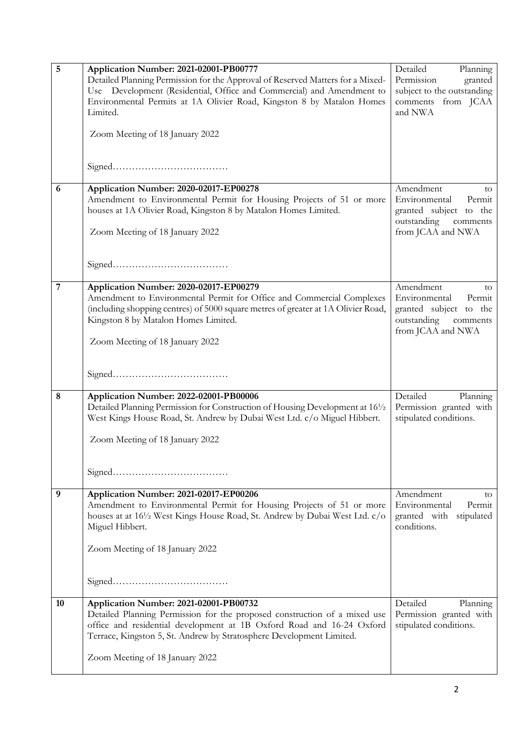| $\overline{5}$ | Application Number: 2021-02001-PB00777                                            | Detailed<br>Planning       |
|----------------|-----------------------------------------------------------------------------------|----------------------------|
|                | Detailed Planning Permission for the Approval of Reserved Matters for a Mixed-    | Permission<br>granted      |
|                | Use Development (Residential, Office and Commercial) and Amendment to             | subject to the outstanding |
|                | Environmental Permits at 1A Olivier Road, Kingston 8 by Matalon Homes             | comments from JCAA         |
|                | Limited.                                                                          | and NWA                    |
|                |                                                                                   |                            |
|                | Zoom Meeting of 18 January 2022                                                   |                            |
|                |                                                                                   |                            |
|                |                                                                                   |                            |
|                |                                                                                   |                            |
|                |                                                                                   |                            |
| 6              | Application Number: 2020-02017-EP00278                                            | Amendment<br>to            |
|                | Amendment to Environmental Permit for Housing Projects of 51 or more              | Environmental<br>Permit    |
|                | houses at 1A Olivier Road, Kingston 8 by Matalon Homes Limited.                   | granted subject to the     |
|                |                                                                                   | outstanding<br>comments    |
|                | Zoom Meeting of 18 January 2022                                                   | from JCAA and NWA          |
|                |                                                                                   |                            |
|                |                                                                                   |                            |
|                |                                                                                   |                            |
|                |                                                                                   |                            |
| $\sqrt{7}$     | Application Number: 2020-02017-EP00279                                            | Amendment<br>to            |
|                | Amendment to Environmental Permit for Office and Commercial Complexes             | Environmental<br>Permit    |
|                | (including shopping centres) of 5000 square metres of greater at 1A Olivier Road, | granted subject to the     |
|                | Kingston 8 by Matalon Homes Limited.                                              | outstanding<br>comments    |
|                |                                                                                   | from JCAA and NWA          |
|                | Zoom Meeting of 18 January 2022                                                   |                            |
|                |                                                                                   |                            |
|                |                                                                                   |                            |
|                |                                                                                   |                            |
|                |                                                                                   |                            |
| 8              | Application Number: 2022-02001-PB00006                                            | Detailed<br>Planning       |
|                | Detailed Planning Permission for Construction of Housing Development at 161/2     | Permission granted with    |
|                | West Kings House Road, St. Andrew by Dubai West Ltd. c/o Miguel Hibbert.          | stipulated conditions.     |
|                |                                                                                   |                            |
|                | Zoom Meeting of 18 January 2022                                                   |                            |
|                |                                                                                   |                            |
|                |                                                                                   |                            |
|                |                                                                                   |                            |
|                |                                                                                   |                            |
| 9              | Application Number: 2021-02017-EP00206                                            | Amendment<br>to            |
|                | Amendment to Environmental Permit for Housing Projects of 51 or more              | Environmental<br>Permit    |
|                | houses at at 161/2 West Kings House Road, St. Andrew by Dubai West Ltd. c/o       | granted with<br>stipulated |
|                | Miguel Hibbert.                                                                   | conditions.                |
|                |                                                                                   |                            |
|                | Zoom Meeting of 18 January 2022                                                   |                            |
|                |                                                                                   |                            |
|                |                                                                                   |                            |
|                |                                                                                   |                            |
|                |                                                                                   |                            |
| 10             | Application Number: 2021-02001-PB00732                                            | Detailed<br>Planning       |
|                | Detailed Planning Permission for the proposed construction of a mixed use         | Permission granted with    |
|                | office and residential development at 1B Oxford Road and 16-24 Oxford             | stipulated conditions.     |
|                | Terrace, Kingston 5, St. Andrew by Stratosphere Development Limited.              |                            |
|                |                                                                                   |                            |
|                | Zoom Meeting of 18 January 2022                                                   |                            |
|                |                                                                                   |                            |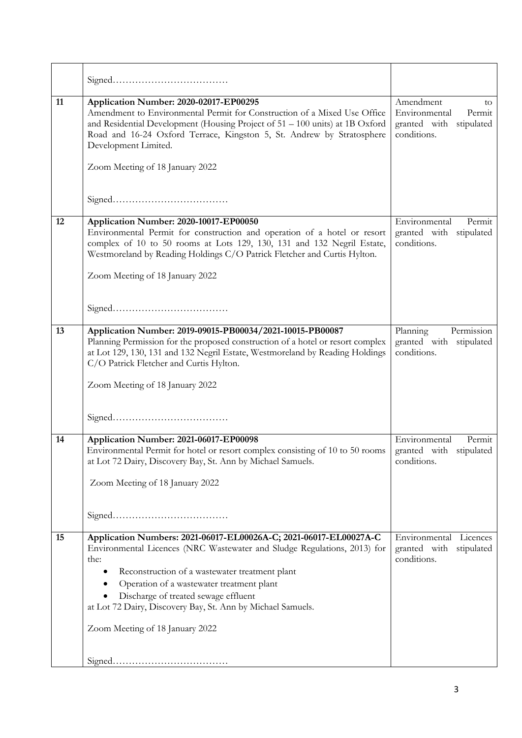| 11 | Application Number: 2020-02017-EP00295<br>Amendment to Environmental Permit for Construction of a Mixed Use Office<br>and Residential Development (Housing Project of 51 - 100 units) at 1B Oxford<br>Road and 16-24 Oxford Terrace, Kingston 5, St. Andrew by Stratosphere<br>Development Limited.<br>Zoom Meeting of 18 January 2022                                                                   | Amendment<br>to.<br>Environmental<br>Permit<br>granted with stipulated<br>conditions. |
|----|----------------------------------------------------------------------------------------------------------------------------------------------------------------------------------------------------------------------------------------------------------------------------------------------------------------------------------------------------------------------------------------------------------|---------------------------------------------------------------------------------------|
| 12 | Application Number: 2020-10017-EP00050<br>Environmental Permit for construction and operation of a hotel or resort<br>complex of 10 to 50 rooms at Lots 129, 130, 131 and 132 Negril Estate,<br>Westmoreland by Reading Holdings C/O Patrick Fletcher and Curtis Hylton.<br>Zoom Meeting of 18 January 2022                                                                                              | Environmental<br>Permit<br>granted with<br>stipulated<br>conditions.                  |
| 13 | Application Number: 2019-09015-PB00034/2021-10015-PB00087<br>Planning Permission for the proposed construction of a hotel or resort complex<br>at Lot 129, 130, 131 and 132 Negril Estate, Westmoreland by Reading Holdings<br>C/O Patrick Fletcher and Curtis Hylton.<br>Zoom Meeting of 18 January 2022                                                                                                | Planning<br>Permission<br>granted with stipulated<br>conditions.                      |
| 14 | Application Number: 2021-06017-EP00098<br>Environmental Permit for hotel or resort complex consisting of 10 to 50 rooms<br>at Lot 72 Dairy, Discovery Bay, St. Ann by Michael Samuels.<br>Zoom Meeting of 18 January 2022                                                                                                                                                                                | Environmental<br>Permit<br>granted with stipulated<br>conditions.                     |
| 15 | Application Numbers: 2021-06017-EL00026A-C; 2021-06017-EL00027A-C<br>Environmental Licences (NRC Wastewater and Sludge Regulations, 2013) for<br>the:<br>Reconstruction of a wastewater treatment plant<br>٠<br>Operation of a wastewater treatment plant<br>٠<br>Discharge of treated sewage effluent<br>at Lot 72 Dairy, Discovery Bay, St. Ann by Michael Samuels.<br>Zoom Meeting of 18 January 2022 | Environmental Licences<br>granted with<br>stipulated<br>conditions.                   |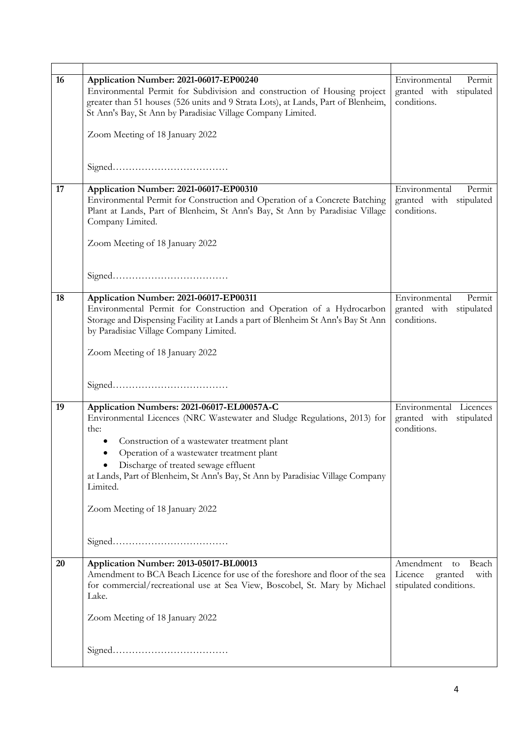| 16 | Application Number: 2021-06017-EP00240<br>Environmental Permit for Subdivision and construction of Housing project<br>greater than 51 houses (526 units and 9 Strata Lots), at Lands, Part of Blenheim,<br>St Ann's Bay, St Ann by Paradisiac Village Company Limited.                                                                                                                               | Environmental<br>Permit<br>granted with stipulated<br>conditions.                |
|----|------------------------------------------------------------------------------------------------------------------------------------------------------------------------------------------------------------------------------------------------------------------------------------------------------------------------------------------------------------------------------------------------------|----------------------------------------------------------------------------------|
|    | Zoom Meeting of 18 January 2022                                                                                                                                                                                                                                                                                                                                                                      |                                                                                  |
|    |                                                                                                                                                                                                                                                                                                                                                                                                      |                                                                                  |
| 17 | Application Number: 2021-06017-EP00310<br>Environmental Permit for Construction and Operation of a Concrete Batching<br>Plant at Lands, Part of Blenheim, St Ann's Bay, St Ann by Paradisiac Village<br>Company Limited.<br>Zoom Meeting of 18 January 2022                                                                                                                                          | Environmental<br>Permit<br>granted with stipulated<br>conditions.                |
|    |                                                                                                                                                                                                                                                                                                                                                                                                      |                                                                                  |
| 18 | Application Number: 2021-06017-EP00311<br>Environmental Permit for Construction and Operation of a Hydrocarbon<br>Storage and Dispensing Facility at Lands a part of Blenheim St Ann's Bay St Ann<br>by Paradisiac Village Company Limited.<br>Zoom Meeting of 18 January 2022                                                                                                                       | Environmental<br>Permit<br>granted with stipulated<br>conditions.                |
|    |                                                                                                                                                                                                                                                                                                                                                                                                      |                                                                                  |
| 19 | Application Numbers: 2021-06017-EL00057A-C<br>Environmental Licences (NRC Wastewater and Sludge Regulations, 2013) for<br>the:<br>Construction of a wastewater treatment plant<br>Operation of a wastewater treatment plant<br>Discharge of treated sewage effluent<br>at Lands, Part of Blenheim, St Ann's Bay, St Ann by Paradisiac Village Company<br>Limited.<br>Zoom Meeting of 18 January 2022 | Environmental Licences<br>granted with stipulated<br>conditions.                 |
|    |                                                                                                                                                                                                                                                                                                                                                                                                      |                                                                                  |
| 20 | Application Number: 2013-05017-BL00013<br>Amendment to BCA Beach Licence for use of the foreshore and floor of the sea<br>for commercial/recreational use at Sea View, Boscobel, St. Mary by Michael<br>Lake.                                                                                                                                                                                        | Amendment<br>Beach<br>to<br>Licence<br>granted<br>with<br>stipulated conditions. |
|    | Zoom Meeting of 18 January 2022                                                                                                                                                                                                                                                                                                                                                                      |                                                                                  |
|    |                                                                                                                                                                                                                                                                                                                                                                                                      |                                                                                  |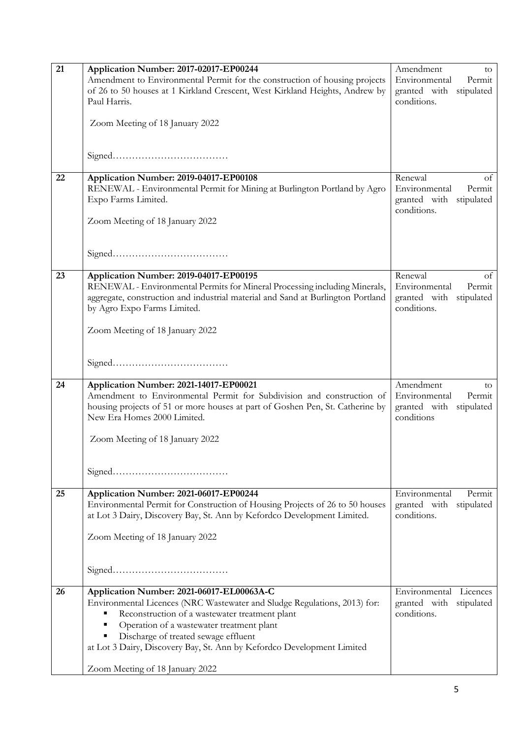| 21 | Application Number: 2017-02017-EP00244                                                                          | Amendment<br>to                            |
|----|-----------------------------------------------------------------------------------------------------------------|--------------------------------------------|
|    | Amendment to Environmental Permit for the construction of housing projects                                      | Environmental<br>Permit                    |
|    | of 26 to 50 houses at 1 Kirkland Crescent, West Kirkland Heights, Andrew by                                     | granted with stipulated                    |
|    | Paul Harris.                                                                                                    | conditions.                                |
|    |                                                                                                                 |                                            |
|    | Zoom Meeting of 18 January 2022                                                                                 |                                            |
|    |                                                                                                                 |                                            |
|    |                                                                                                                 |                                            |
|    |                                                                                                                 |                                            |
| 22 | Application Number: 2019-04017-EP00108                                                                          | Renewal<br>of                              |
|    | RENEWAL - Environmental Permit for Mining at Burlington Portland by Agro                                        | Environmental<br>Permit                    |
|    | Expo Farms Limited.                                                                                             | granted with stipulated                    |
|    |                                                                                                                 | conditions.                                |
|    | Zoom Meeting of 18 January 2022                                                                                 |                                            |
|    |                                                                                                                 |                                            |
|    |                                                                                                                 |                                            |
|    |                                                                                                                 |                                            |
| 23 | Application Number: 2019-04017-EP00195                                                                          | Renewal<br>of                              |
|    | RENEWAL - Environmental Permits for Mineral Processing including Minerals,                                      | Environmental<br>Permit                    |
|    | aggregate, construction and industrial material and Sand at Burlington Portland                                 | granted with stipulated                    |
|    | by Agro Expo Farms Limited.                                                                                     | conditions.                                |
|    | Zoom Meeting of 18 January 2022                                                                                 |                                            |
|    |                                                                                                                 |                                            |
|    |                                                                                                                 |                                            |
|    |                                                                                                                 |                                            |
|    |                                                                                                                 |                                            |
| 24 | Application Number: 2021-14017-EP00021<br>Amendment to Environmental Permit for Subdivision and construction of | Amendment<br>to<br>Environmental<br>Permit |
|    | housing projects of 51 or more houses at part of Goshen Pen, St. Catherine by                                   | granted with stipulated                    |
|    | New Era Homes 2000 Limited.                                                                                     | conditions                                 |
|    |                                                                                                                 |                                            |
|    | Zoom Meeting of 18 January 2022                                                                                 |                                            |
|    |                                                                                                                 |                                            |
|    |                                                                                                                 |                                            |
|    |                                                                                                                 |                                            |
| 25 | Application Number: 2021-06017-EP00244                                                                          | Environmental<br>Permit                    |
|    | Environmental Permit for Construction of Housing Projects of 26 to 50 houses                                    | granted with<br>stipulated                 |
|    | at Lot 3 Dairy, Discovery Bay, St. Ann by Kefordco Development Limited.                                         | conditions.                                |
|    |                                                                                                                 |                                            |
|    | Zoom Meeting of 18 January 2022                                                                                 |                                            |
|    |                                                                                                                 |                                            |
|    |                                                                                                                 |                                            |
|    |                                                                                                                 |                                            |
| 26 | Application Number: 2021-06017-EL00063A-C                                                                       | Environmental Licences                     |
|    | Environmental Licences (NRC Wastewater and Sludge Regulations, 2013) for:                                       | granted with stipulated                    |
|    | Reconstruction of a wastewater treatment plant<br>٠                                                             | conditions.                                |
|    | Operation of a wastewater treatment plant<br>٠                                                                  |                                            |
|    | Discharge of treated sewage effluent<br>٠                                                                       |                                            |
|    | at Lot 3 Dairy, Discovery Bay, St. Ann by Kefordco Development Limited                                          |                                            |
|    | Zoom Meeting of 18 January 2022                                                                                 |                                            |